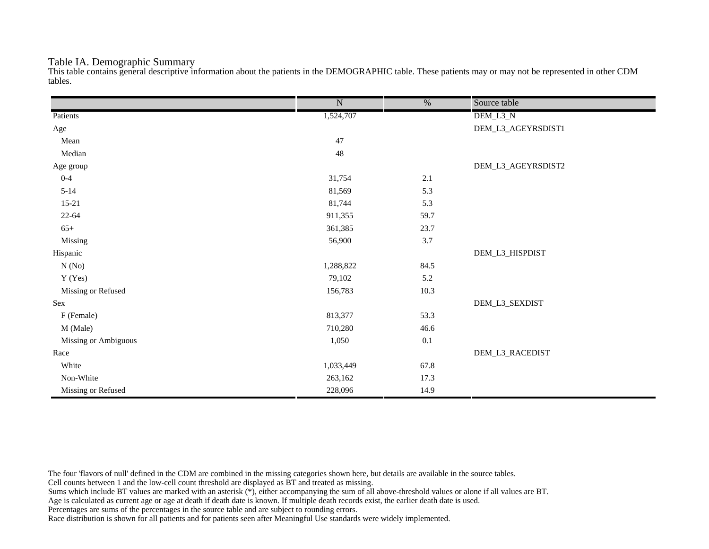## Table IA. Demographic Summary

This table contains general descriptive information about the patients in the DEMOGRAPHIC table. These patients may or may not be represented in other CDM tables.

|                      | $\overline{\text{N}}$ | $\frac{0}{6}$ | Source table       |
|----------------------|-----------------------|---------------|--------------------|
| Patients             | 1,524,707             |               | DEM_L3_N           |
| Age                  |                       |               | DEM_L3_AGEYRSDIST1 |
| Mean                 | 47                    |               |                    |
| Median               | $48\,$                |               |                    |
| Age group            |                       |               | DEM_L3_AGEYRSDIST2 |
| $0 - 4$              | 31,754                | 2.1           |                    |
| $5 - 14$             | 81,569                | 5.3           |                    |
| $15 - 21$            | 81,744                | 5.3           |                    |
| $22 - 64$            | 911,355               | 59.7          |                    |
| $65+$                | 361,385               | 23.7          |                    |
| Missing              | 56,900                | 3.7           |                    |
| Hispanic             |                       |               | DEM_L3_HISPDIST    |
| N(No)                | 1,288,822             | 84.5          |                    |
| Y (Yes)              | 79,102                | 5.2           |                    |
| Missing or Refused   | 156,783               | 10.3          |                    |
| Sex                  |                       |               | DEM_L3_SEXDIST     |
| F (Female)           | 813,377               | 53.3          |                    |
| M (Male)             | 710,280               | 46.6          |                    |
| Missing or Ambiguous | 1,050                 | 0.1           |                    |
| Race                 |                       |               | DEM_L3_RACEDIST    |
| White                | 1,033,449             | 67.8          |                    |
| Non-White            | 263,162               | 17.3          |                    |
| Missing or Refused   | 228,096               | 14.9          |                    |

The four 'flavors of null' defined in the CDM are combined in the missing categories shown here, but details are available in the source tables.

Cell counts between 1 and the low-cell count threshold are displayed as BT and treated as missing.

Sums which include BT values are marked with an asterisk (\*), either accompanying the sum of all above-threshold values or alone if all values are BT.

Age is calculated as current age or age at death if death date is known. If multiple death records exist, the earlier death date is used.

Percentages are sums of the percentages in the source table and are subject to rounding errors.

Race distribution is shown for all patients and for patients seen after Meaningful Use standards were widely implemented.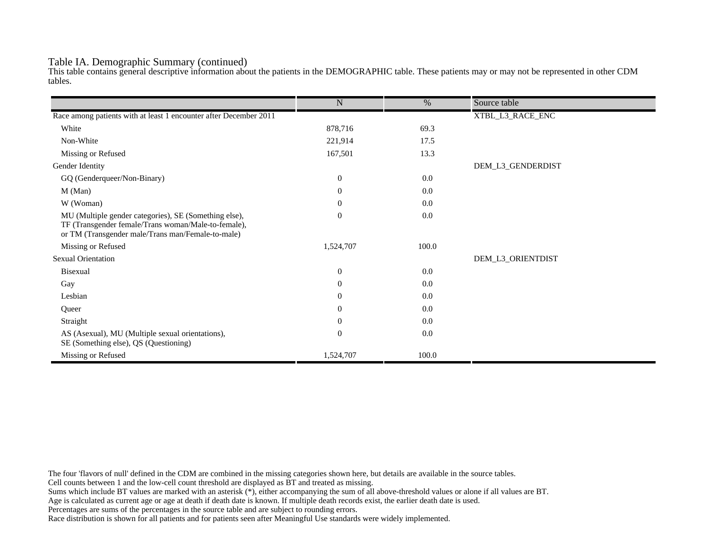## Table IA. Demographic Summary (continued)

This table contains general descriptive information about the patients in the DEMOGRAPHIC table. These patients may or may not be represented in other CDM tables.

|                                                                                                                                                                   | $\mathbf N$      | %     | Source table      |
|-------------------------------------------------------------------------------------------------------------------------------------------------------------------|------------------|-------|-------------------|
| Race among patients with at least 1 encounter after December 2011                                                                                                 |                  |       | XTBL_L3_RACE_ENC  |
| White                                                                                                                                                             | 878,716          | 69.3  |                   |
| Non-White                                                                                                                                                         | 221,914          | 17.5  |                   |
| Missing or Refused                                                                                                                                                | 167,501          | 13.3  |                   |
| Gender Identity                                                                                                                                                   |                  |       | DEM_L3_GENDERDIST |
| GQ (Genderqueer/Non-Binary)                                                                                                                                       | $\overline{0}$   | 0.0   |                   |
| M (Man)                                                                                                                                                           | $\theta$         | 0.0   |                   |
| W (Woman)                                                                                                                                                         | $\boldsymbol{0}$ | 0.0   |                   |
|                                                                                                                                                                   | $\overline{0}$   | 0.0   |                   |
| MU (Multiple gender categories), SE (Something else),<br>TF (Transgender female/Trans woman/Male-to-female),<br>or TM (Transgender male/Trans man/Female-to-male) |                  |       |                   |
| Missing or Refused                                                                                                                                                | 1,524,707        | 100.0 |                   |
| <b>Sexual Orientation</b>                                                                                                                                         |                  |       | DEM_L3_ORIENTDIST |
| Bisexual                                                                                                                                                          | $\overline{0}$   | 0.0   |                   |
| Gay                                                                                                                                                               | $\theta$         | 0.0   |                   |
| Lesbian                                                                                                                                                           | $\theta$         | 0.0   |                   |
| Queer                                                                                                                                                             | $\theta$         | 0.0   |                   |
| Straight                                                                                                                                                          | $\theta$         | 0.0   |                   |
| AS (Asexual), MU (Multiple sexual orientations),<br>SE (Something else), QS (Questioning)                                                                         | $\overline{0}$   | 0.0   |                   |
| Missing or Refused                                                                                                                                                | 1,524,707        | 100.0 |                   |

The four 'flavors of null' defined in the CDM are combined in the missing categories shown here, but details are available in the source tables.

Cell counts between 1 and the low-cell count threshold are displayed as BT and treated as missing.

Sums which include BT values are marked with an asterisk (\*), either accompanying the sum of all above-threshold values or alone if all values are BT.

Age is calculated as current age or age at death if death date is known. If multiple death records exist, the earlier death date is used.

Percentages are sums of the percentages in the source table and are subject to rounding errors.

Race distribution is shown for all patients and for patients seen after Meaningful Use standards were widely implemented.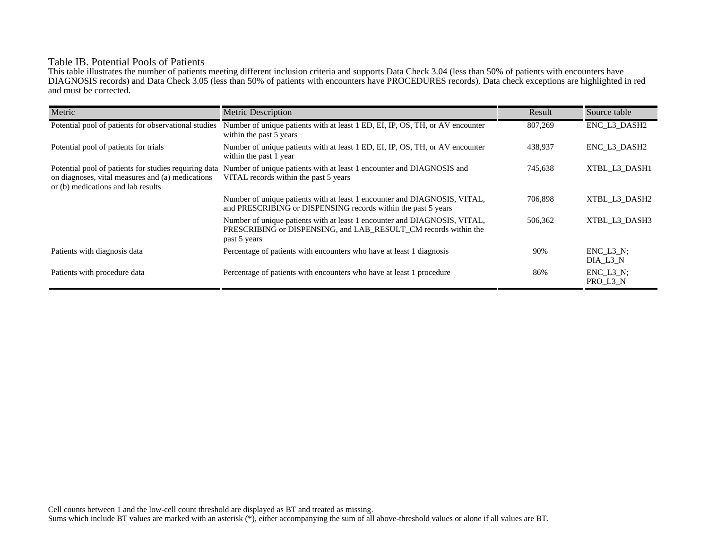# Table IB. Potential Pools of Patients

This table illustrates the number of patients meeting different inclusion criteria and supports Data Check 3.04 (less than 50% of patients with encounters have DIAGNOSIS records) and Data Check 3.05 (less than 50% of patients with encounters have PROCEDURES records). Data check exceptions are highlighted in red and must be corrected.

| Metric                                                                                                                                          | <b>Metric Description</b>                                                                                                                                    | Result  | Source table                 |
|-------------------------------------------------------------------------------------------------------------------------------------------------|--------------------------------------------------------------------------------------------------------------------------------------------------------------|---------|------------------------------|
| Potential pool of patients for observational studies                                                                                            | Number of unique patients with at least 1 ED, EI, IP, OS, TH, or AV encounter<br>within the past 5 years                                                     | 807,269 | ENC_L3_DASH2                 |
| Potential pool of patients for trials                                                                                                           | Number of unique patients with at least 1 ED, EI, IP, OS, TH, or AV encounter<br>within the past 1 year                                                      | 438,937 | ENC L3 DASH2                 |
| Potential pool of patients for studies requiring data<br>on diagnoses, vital measures and (a) medications<br>or (b) medications and lab results | Number of unique patients with at least 1 encounter and DIAGNOSIS and<br>VITAL records within the past 5 years                                               | 745,638 | XTBL L3 DASH1                |
|                                                                                                                                                 | Number of unique patients with at least 1 encounter and DIAGNOSIS, VITAL,<br>and PRESCRIBING or DISPENSING records within the past 5 years                   | 706,898 | XTBL L3 DASH2                |
|                                                                                                                                                 | Number of unique patients with at least 1 encounter and DIAGNOSIS, VITAL,<br>PRESCRIBING or DISPENSING, and LAB RESULT CM records within the<br>past 5 years | 506,362 | XTBL L3 DASH3                |
| Patients with diagnosis data                                                                                                                    | Percentage of patients with encounters who have at least 1 diagnosis                                                                                         | 90%     | $ENC$ $L3$ $N$ ;<br>DIA L3 N |
| Patients with procedure data                                                                                                                    | Percentage of patients with encounters who have at least 1 procedure                                                                                         | 86%     | $ENC_L3_N;$<br>PRO_L3_N      |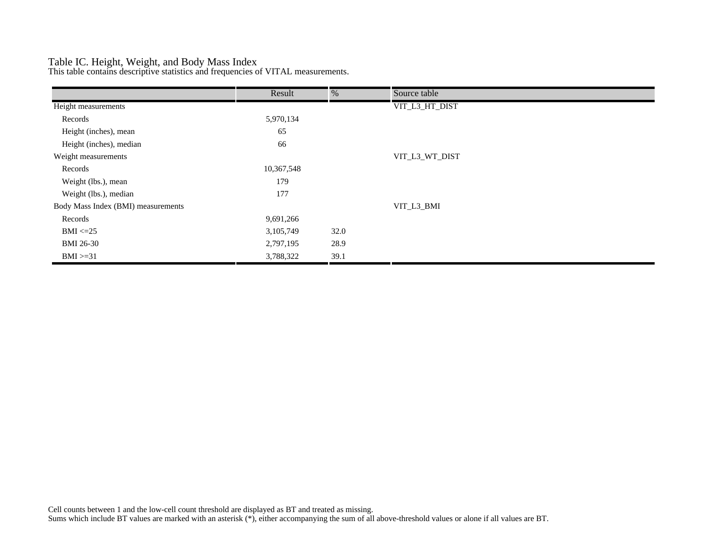## Table IC. Height, Weight, and Body Mass Index

This table contains descriptive statistics and frequencies of VITAL measurements.

|                                    | Result     | %    | Source table   |
|------------------------------------|------------|------|----------------|
| Height measurements                |            |      | VIT_L3_HT_DIST |
| Records                            | 5,970,134  |      |                |
| Height (inches), mean              | 65         |      |                |
| Height (inches), median            | 66         |      |                |
| Weight measurements                |            |      | VIT_L3_WT_DIST |
| Records                            | 10,367,548 |      |                |
| Weight (lbs.), mean                | 179        |      |                |
| Weight (lbs.), median              | 177        |      |                |
| Body Mass Index (BMI) measurements |            |      | VIT_L3_BMI     |
| Records                            | 9,691,266  |      |                |
| $BMI \leq=25$                      | 3,105,749  | 32.0 |                |
| <b>BMI 26-30</b>                   | 2,797,195  | 28.9 |                |
| $BMI > = 31$                       | 3,788,322  | 39.1 |                |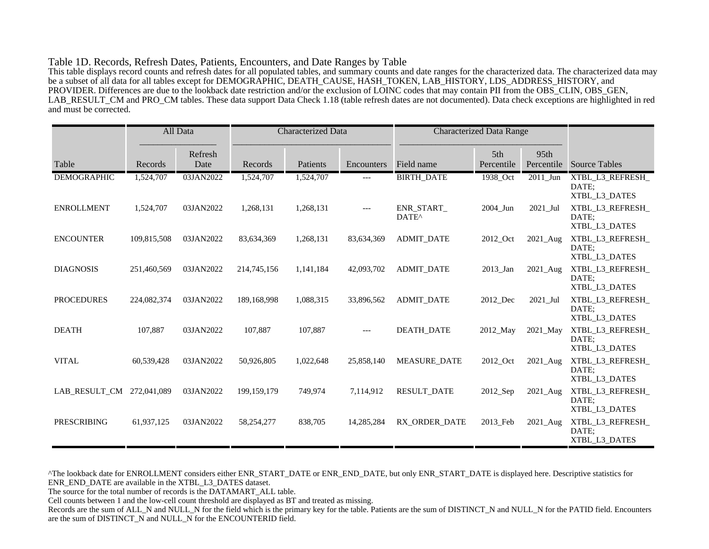#### Table 1D. Records, Refresh Dates, Patients, Encounters, and Date Ranges by Table

This table displays record counts and refresh dates for all populated tables, and summary counts and date ranges for the characterized data. The characterized data may be a subset of all data for all tables except for DEMOGRAPHIC, DEATH\_CAUSE, HASH\_TOKEN, LAB\_HISTORY, LDS\_ADDRESS\_HISTORY, and PROVIDER. Differences are due to the lookback date restriction and/or the exclusion of LOINC codes that may contain PII from the OBS\_CLIN, OBS\_GEN, LAB\_RESULT\_CM and PRO\_CM tables. These data support Data Check 1.18 (table refresh dates are not documented). Data check exceptions are highlighted in red and must be corrected.

|                    |             | All Data        | <b>Characterized Data</b> |           | <b>Characterized Data Range</b> |                                 |                   |                    |                                            |
|--------------------|-------------|-----------------|---------------------------|-----------|---------------------------------|---------------------------------|-------------------|--------------------|--------------------------------------------|
| Table              | Records     | Refresh<br>Date | Records                   | Patients  | Encounters                      | Field name                      | 5th<br>Percentile | 95th<br>Percentile | <b>Source Tables</b>                       |
| <b>DEMOGRAPHIC</b> | 1,524,707   | 03JAN2022       | 1,524,707                 | 1,524,707 | ---                             | <b>BIRTH_DATE</b>               | 1938_Oct          | $2011$ _Jun        | XTBL_L3_REFRESH_<br>DATE;<br>XTBL L3 DATES |
| <b>ENROLLMENT</b>  | 1,524,707   | 03JAN2022       | 1,268,131                 | 1,268,131 | $---$                           | ENR_START_<br>DATE <sup>^</sup> | 2004_Jun          | 2021_Jul           | XTBL_L3_REFRESH_<br>DATE:<br>XTBL_L3_DATES |
| <b>ENCOUNTER</b>   | 109,815,508 | 03JAN2022       | 83,634,369                | 1,268,131 | 83,634,369                      | <b>ADMIT DATE</b>               | 2012 Oct          | 2021 Aug           | XTBL_L3_REFRESH_<br>DATE:<br>XTBL_L3_DATES |
| <b>DIAGNOSIS</b>   | 251,460,569 | 03JAN2022       | 214,745,156               | 1,141,184 | 42,093,702                      | <b>ADMIT_DATE</b>               | 2013_Jan          | 2021_Aug           | XTBL_L3_REFRESH_<br>DATE;<br>XTBL_L3_DATES |
| <b>PROCEDURES</b>  | 224,082,374 | 03JAN2022       | 189,168,998               | 1,088,315 | 33,896,562                      | <b>ADMIT DATE</b>               | 2012 Dec          | 2021 Jul           | XTBL L3 REFRESH<br>DATE:<br>XTBL_L3_DATES  |
| <b>DEATH</b>       | 107,887     | 03JAN2022       | 107,887                   | 107,887   | $---$                           | <b>DEATH DATE</b>               | 2012 May          | 2021_May           | XTBL_L3_REFRESH_<br>DATE:<br>XTBL_L3_DATES |
| <b>VITAL</b>       | 60,539,428  | 03JAN2022       | 50,926,805                | 1,022,648 | 25,858,140                      | <b>MEASURE DATE</b>             | 2012_Oct          | 2021_Aug           | XTBL_L3_REFRESH_<br>DATE:<br>XTBL_L3_DATES |
| LAB_RESULT_CM      | 272,041,089 | 03JAN2022       | 199, 159, 179             | 749,974   | 7,114,912                       | <b>RESULT_DATE</b>              | 2012_Sep          | 2021_Aug           | XTBL_L3_REFRESH_<br>DATE:<br>XTBL_L3_DATES |
| <b>PRESCRIBING</b> | 61,937,125  | 03JAN2022       | 58,254,277                | 838,705   | 14,285,284                      | RX ORDER DATE                   | 2013 Feb          | 2021_Aug           | XTBL_L3_REFRESH_<br>DATE:<br>XTBL_L3_DATES |

^The lookback date for ENROLLMENT considers either ENR\_START\_DATE or ENR\_END\_DATE, but only ENR\_START\_DATE is displayed here. Descriptive statistics for ENR\_END\_DATE are available in the XTBL\_L3\_DATES dataset.

The source for the total number of records is the DATAMART\_ALL table.

Cell counts between 1 and the low-cell count threshold are displayed as BT and treated as missing.

Records are the sum of ALL\_N and NULL\_N for the field which is the primary key for the table. Patients are the sum of DISTINCT\_N and NULL\_N for the PATID field. Encounters are the sum of DISTINCT\_N and NULL\_N for the ENCOUNTERID field.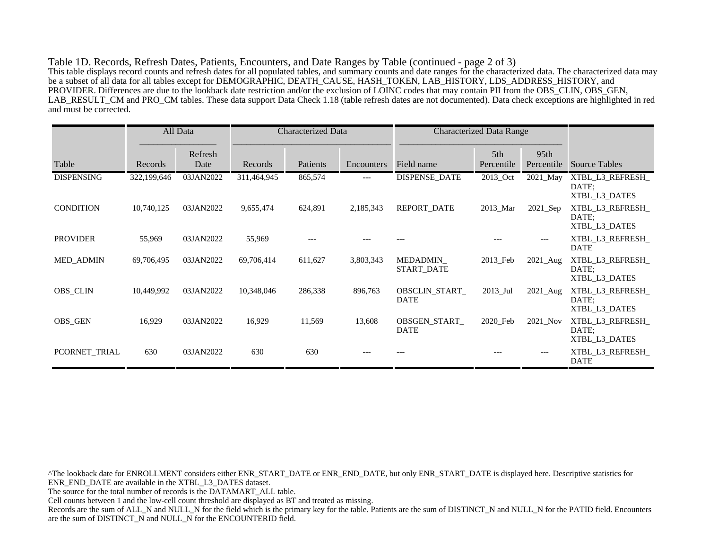Table 1D. Records, Refresh Dates, Patients, Encounters, and Date Ranges by Table (continued - page 2 of 3) This table displays record counts and refresh dates for all populated tables, and summary counts and date ranges for the characterized data. The characterized data may be a subset of all data for all tables except for DEMOGRAPHIC, DEATH\_CAUSE, HASH\_TOKEN, LAB\_HISTORY, LDS\_ADDRESS\_HISTORY, and PROVIDER. Differences are due to the lookback date restriction and/or the exclusion of LOINC codes that may contain PII from the OBS\_CLIN, OBS\_GEN, LAB\_RESULT\_CM and PRO\_CM tables. These data support Data Check 1.18 (table refresh dates are not documented). Data check exceptions are highlighted in red and must be corrected.

|                   |             | All Data        | <b>Characterized Data</b> |          |            | <b>Characterized Data Range</b> |                   |                                |                                            |
|-------------------|-------------|-----------------|---------------------------|----------|------------|---------------------------------|-------------------|--------------------------------|--------------------------------------------|
| Table             | Records     | Refresh<br>Date | Records                   | Patients | Encounters | Field name                      | 5th<br>Percentile | 95 <sub>th</sub><br>Percentile | <b>Source Tables</b>                       |
| <b>DISPENSING</b> | 322,199,646 | 03JAN2022       | 311,464,945               | 865,574  | ---        | <b>DISPENSE DATE</b>            | 2013_Oct          | 2021_May                       | XTBL_L3_REFRESH_<br>DATE:<br>XTBL_L3_DATES |
| <b>CONDITION</b>  | 10,740,125  | 03JAN2022       | 9,655,474                 | 624,891  | 2,185,343  | REPORT_DATE                     | 2013_Mar          | 2021_Sep                       | XTBL_L3_REFRESH_<br>DATE;<br>XTBL_L3_DATES |
| <b>PROVIDER</b>   | 55,969      | 03JAN2022       | 55,969                    |          |            |                                 |                   | ---                            | XTBL L3 REFRESH<br><b>DATE</b>             |
| <b>MED_ADMIN</b>  | 69,706,495  | 03JAN2022       | 69,706,414                | 611,627  | 3,803,343  | MEDADMIN<br>START_DATE          | 2013_Feb          | $2021$ _Aug                    | XTBL_L3_REFRESH_<br>DATE;<br>XTBL_L3_DATES |
| <b>OBS_CLIN</b>   | 10,449,992  | 03JAN2022       | 10,348,046                | 286,338  | 896,763    | OBSCLIN START<br><b>DATE</b>    | $2013$ Jul        | $2021$ Aug                     | XTBL L3 REFRESH<br>DATE:<br>XTBL L3 DATES  |
| <b>OBS GEN</b>    | 16,929      | 03JAN2022       | 16,929                    | 11,569   | 13,608     | OBSGEN START<br><b>DATE</b>     | 2020 Feb          | 2021 Nov                       | XTBL L3 REFRESH<br>DATE:<br>XTBL_L3_DATES  |
| PCORNET_TRIAL     | 630         | 03JAN2022       | 630                       | 630      |            |                                 |                   | ---                            | XTBL_L3_REFRESH_<br>DATE                   |

^The lookback date for ENROLLMENT considers either ENR\_START\_DATE or ENR\_END\_DATE, but only ENR\_START\_DATE is displayed here. Descriptive statistics for ENR\_END\_DATE are available in the XTBL\_L3\_DATES dataset. The source for the total number of records is the DATAMART\_ALL table. Cell counts between 1 and the low-cell count threshold are displayed as BT and treated as missing. Records are the sum of ALL\_N and NULL\_N for the field which is the primary key for the table. Patients are the sum of DISTINCT\_N and NULL\_N for the PATID field. Encounters are the sum of DISTINCT\_N and NULL\_N for the ENCOUNTERID field.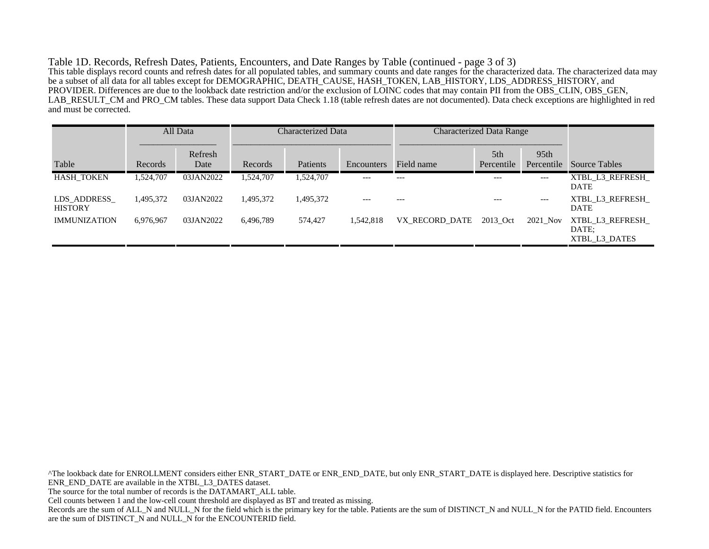Table 1D. Records, Refresh Dates, Patients, Encounters, and Date Ranges by Table (continued - page 3 of 3) This table displays record counts and refresh dates for all populated tables, and summary counts and date ranges for the characterized data. The characterized data may be a subset of all data for all tables except for DEMOGRAPHIC, DEATH\_CAUSE, HASH\_TOKEN, LAB\_HISTORY, LDS\_ADDRESS\_HISTORY, and PROVIDER. Differences are due to the lookback date restriction and/or the exclusion of LOINC codes that may contain PII from the OBS\_CLIN, OBS\_GEN, LAB\_RESULT\_CM and PRO\_CM tables. These data support Data Check 1.18 (table refresh dates are not documented). Data check exceptions are highlighted in red and must be corrected.

|                               |           | All Data        | Characterized Data |           |            | <b>Characterized Data Range</b> |                   |                                |                                           |
|-------------------------------|-----------|-----------------|--------------------|-----------|------------|---------------------------------|-------------------|--------------------------------|-------------------------------------------|
| Table                         | Records   | Refresh<br>Date | Records            | Patients  | Encounters | Field name                      | 5th<br>Percentile | 95 <sub>th</sub><br>Percentile | <b>Source Tables</b>                      |
| <b>HASH TOKEN</b>             | 1,524,707 | 03JAN2022       | 1,524,707          | 1,524,707 | $---$      | $---$                           | $---$             | ---                            | XTBL L3 REFRESH<br><b>DATE</b>            |
| LDS ADDRESS<br><b>HISTORY</b> | 1,495,372 | 03JAN2022       | 1,495,372          | 1,495,372 | $---$      | $---$                           | $---$             | $---$                          | XTBL L3 REFRESH<br><b>DATE</b>            |
| <b>IMMUNIZATION</b>           | 6,976,967 | 03JAN2022       | 6,496,789          | 574,427   | 1,542,818  | VX RECORD DATE                  | 2013 Oct          | 2021_Nov                       | XTBL L3 REFRESH<br>DATE:<br>XTBL L3 DATES |

^The lookback date for ENROLLMENT considers either ENR\_START\_DATE or ENR\_END\_DATE, but only ENR\_START\_DATE is displayed here. Descriptive statistics for ENR\_END\_DATE are available in the XTBL\_L3\_DATES dataset. The source for the total number of records is the DATAMART\_ALL table. Cell counts between 1 and the low-cell count threshold are displayed as BT and treated as missing. Records are the sum of ALL\_N and NULL\_N for the field which is the primary key for the table. Patients are the sum of DISTINCT\_N and NULL\_N for the PATID field. Encounters are the sum of DISTINCT\_N and NULL\_N for the ENCOUNTERID field.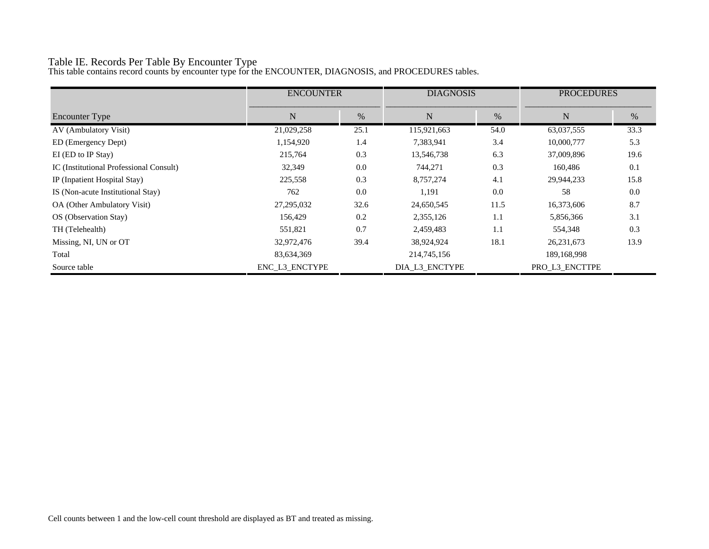# Table IE. Records Per Table By Encounter Type

This table contains record counts by encounter type for the ENCOUNTER, DIAGNOSIS, and PROCEDURES tables.

|                                         | <b>ENCOUNTER</b> |      | <b>DIAGNOSIS</b> |      | <b>PROCEDURES</b> |      |
|-----------------------------------------|------------------|------|------------------|------|-------------------|------|
| <b>Encounter Type</b>                   | N                | %    | N                | %    | N                 | %    |
| AV (Ambulatory Visit)                   | 21,029,258       | 25.1 | 115,921,663      | 54.0 | 63,037,555        | 33.3 |
| ED (Emergency Dept)                     | 1,154,920        | 1.4  | 7,383,941        | 3.4  | 10,000,777        | 5.3  |
| EI (ED to IP Stay)                      | 215,764          | 0.3  | 13,546,738       | 6.3  | 37,009,896        | 19.6 |
| IC (Institutional Professional Consult) | 32,349           | 0.0  | 744,271          | 0.3  | 160,486           | 0.1  |
| IP (Inpatient Hospital Stay)            | 225,558          | 0.3  | 8,757,274        | 4.1  | 29,944,233        | 15.8 |
| IS (Non-acute Institutional Stay)       | 762              | 0.0  | 1,191            | 0.0  | 58                | 0.0  |
| OA (Other Ambulatory Visit)             | 27,295,032       | 32.6 | 24,650,545       | 11.5 | 16,373,606        | 8.7  |
| OS (Observation Stay)                   | 156,429          | 0.2  | 2,355,126        | 1.1  | 5,856,366         | 3.1  |
| TH (Telehealth)                         | 551,821          | 0.7  | 2,459,483        | 1.1  | 554,348           | 0.3  |
| Missing, NI, UN or OT                   | 32,972,476       | 39.4 | 38,924,924       | 18.1 | 26, 231, 673      | 13.9 |
| Total                                   | 83,634,369       |      | 214,745,156      |      | 189,168,998       |      |
| Source table                            | ENC_L3_ENCTYPE   |      | DIA_L3_ENCTYPE   |      | PRO L3 ENCTTPE    |      |